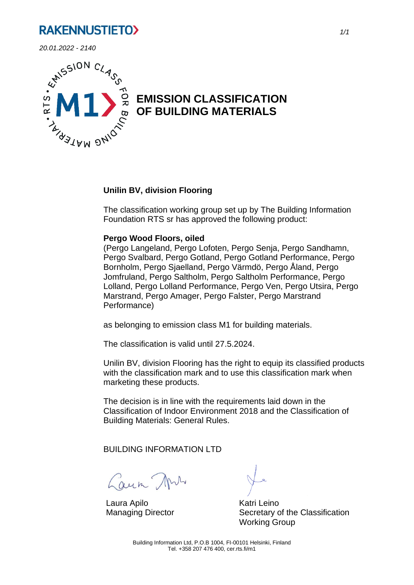*20.01.2022 - 2140*



# **EMISSION CLASSIFICATION OF BUILDING MATERIALS**

#### **Unilin BV, division Flooring**

The classification working group set up by The Building Information Foundation RTS sr has approved the following product:

#### **Pergo Wood Floors, oiled**

(Pergo Langeland, Pergo Lofoten, Pergo Senja, Pergo Sandhamn, Pergo Svalbard, Pergo Gotland, Pergo Gotland Performance, Pergo Bornholm, Pergo Sjaelland, Pergo Värmdö, Pergo Åland, Pergo Jomfruland, Pergo Saltholm, Pergo Saltholm Performance, Pergo Lolland, Pergo Lolland Performance, Pergo Ven, Pergo Utsira, Pergo Marstrand, Pergo Amager, Pergo Falster, Pergo Marstrand Performance)

as belonging to emission class M1 for building materials.

The classification is valid until 27.5.2024.

Unilin BV, division Flooring has the right to equip its classified products with the classification mark and to use this classification mark when marketing these products.

The decision is in line with the requirements laid down in the Classification of Indoor Environment 2018 and the Classification of Building Materials: General Rules.

BUILDING INFORMATION LTD

Caun Ans

Laura Apilo Managing Director

Katri Leino Secretary of the Classification Working Group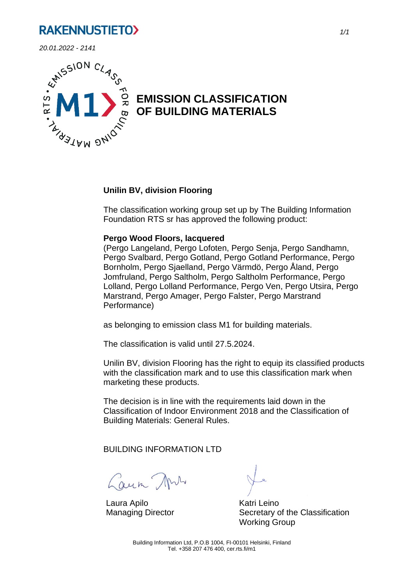*20.01.2022 - 2141*



# **EMISSION CLASSIFICATION OF BUILDING MATERIALS**

#### **Unilin BV, division Flooring**

The classification working group set up by The Building Information Foundation RTS sr has approved the following product:

#### **Pergo Wood Floors, lacquered**

(Pergo Langeland, Pergo Lofoten, Pergo Senja, Pergo Sandhamn, Pergo Svalbard, Pergo Gotland, Pergo Gotland Performance, Pergo Bornholm, Pergo Sjaelland, Pergo Värmdö, Pergo Åland, Pergo Jomfruland, Pergo Saltholm, Pergo Saltholm Performance, Pergo Lolland, Pergo Lolland Performance, Pergo Ven, Pergo Utsira, Pergo Marstrand, Pergo Amager, Pergo Falster, Pergo Marstrand Performance)

as belonging to emission class M1 for building materials.

The classification is valid until 27.5.2024.

Unilin BV, division Flooring has the right to equip its classified products with the classification mark and to use this classification mark when marketing these products.

The decision is in line with the requirements laid down in the Classification of Indoor Environment 2018 and the Classification of Building Materials: General Rules.

BUILDING INFORMATION LTD

Caun Ans

Laura Apilo Managing Director

Katri Leino Secretary of the Classification Working Group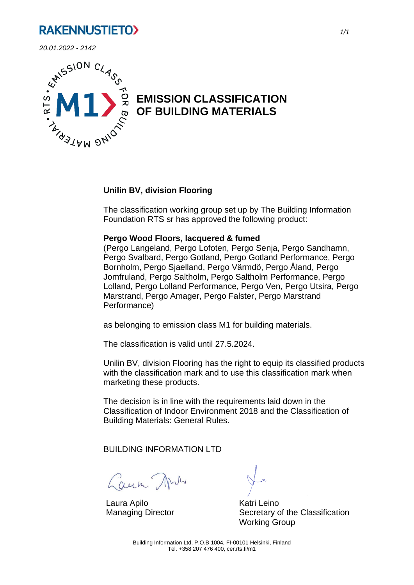*20.01.2022 - 2142*



# **EMISSION CLASSIFICATION OF BUILDING MATERIALS**

#### **Unilin BV, division Flooring**

The classification working group set up by The Building Information Foundation RTS sr has approved the following product:

#### **Pergo Wood Floors, lacquered & fumed**

(Pergo Langeland, Pergo Lofoten, Pergo Senja, Pergo Sandhamn, Pergo Svalbard, Pergo Gotland, Pergo Gotland Performance, Pergo Bornholm, Pergo Sjaelland, Pergo Värmdö, Pergo Åland, Pergo Jomfruland, Pergo Saltholm, Pergo Saltholm Performance, Pergo Lolland, Pergo Lolland Performance, Pergo Ven, Pergo Utsira, Pergo Marstrand, Pergo Amager, Pergo Falster, Pergo Marstrand Performance)

as belonging to emission class M1 for building materials.

The classification is valid until 27.5.2024.

Unilin BV, division Flooring has the right to equip its classified products with the classification mark and to use this classification mark when marketing these products.

The decision is in line with the requirements laid down in the Classification of Indoor Environment 2018 and the Classification of Building Materials: General Rules.

BUILDING INFORMATION LTD

Caun Ans

Laura Apilo Managing Director

Katri Leino Secretary of the Classification Working Group